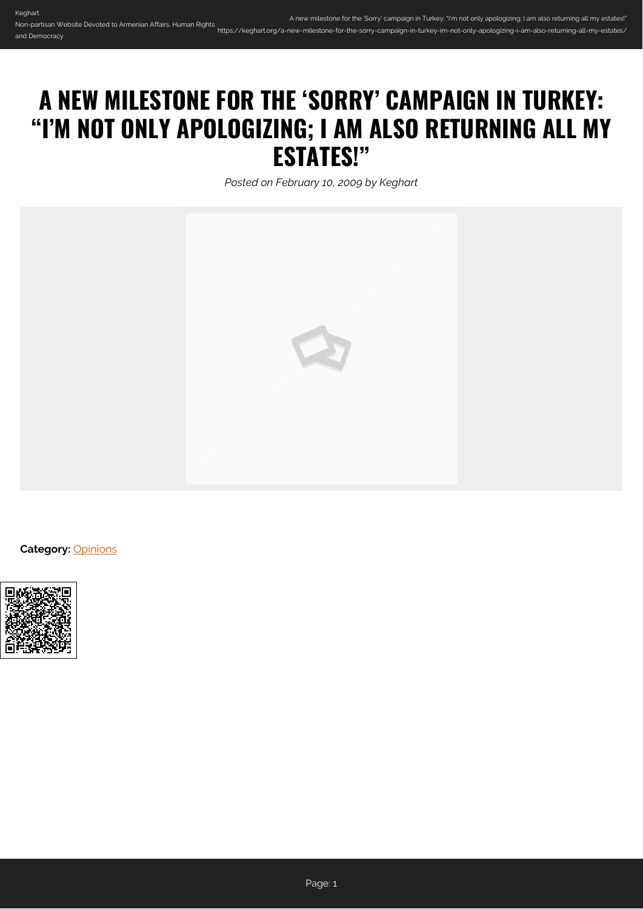## **A NEW MILESTONE FOR THE 'SORRY' CAMPAIGN IN TURKEY: "I'M NOT ONLY APOLOGIZING; I AM ALSO RETURNING ALL MY ESTATES!"**

*Posted on February 10, 2009 by Keghart*



**Category:** [Opinions](https://keghart.org/category/opinions/)

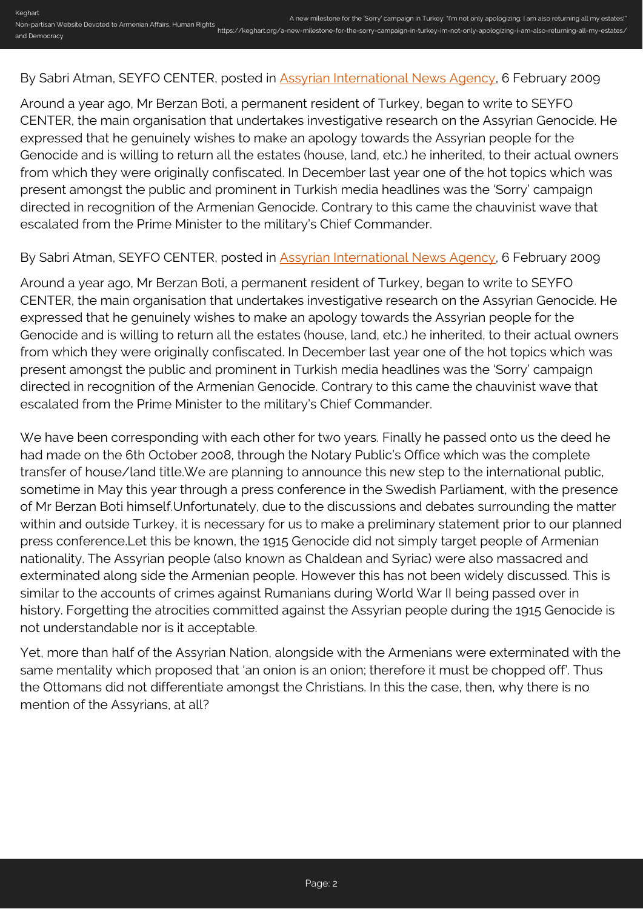## By Sabri Atman, SEYFO CENTER, posted in **Assyrian International News Agency**, 6 February 2009

Around a year ago, Mr Berzan Boti, a permanent resident of Turkey, began to write to SEYFO CENTER, the main organisation that undertakes investigative research on the Assyrian Genocide. He expressed that he genuinely wishes to make an apology towards the Assyrian people for the Genocide and is willing to return all the estates (house, land, etc.) he inherited, to their actual owners from which they were originally confiscated. In December last year one of the hot topics which was present amongst the public and prominent in Turkish media headlines was the 'Sorry' campaign directed in recognition of the Armenian Genocide. Contrary to this came the chauvinist wave that escalated from the Prime Minister to the military's Chief Commander.

## By Sabri Atman, SEYFO CENTER, posted in **Assyrian International News Agency**, 6 February 2009

Around a year ago, Mr Berzan Boti, a permanent resident of Turkey, began to write to SEYFO CENTER, the main organisation that undertakes investigative research on the Assyrian Genocide. He expressed that he genuinely wishes to make an apology towards the Assyrian people for the Genocide and is willing to return all the estates (house, land, etc.) he inherited, to their actual owners from which they were originally confiscated. In December last year one of the hot topics which was present amongst the public and prominent in Turkish media headlines was the 'Sorry' campaign directed in recognition of the Armenian Genocide. Contrary to this came the chauvinist wave that escalated from the Prime Minister to the military's Chief Commander.

We have been corresponding with each other for two years. Finally he passed onto us the deed he had made on the 6th October 2008, through the Notary Public's Office which was the complete transfer of house/land title.We are planning to announce this new step to the international public, sometime in May this year through a press conference in the Swedish Parliament, with the presence of Mr Berzan Boti himself.Unfortunately, due to the discussions and debates surrounding the matter within and outside Turkey, it is necessary for us to make a preliminary statement prior to our planned press conference.Let this be known, the 1915 Genocide did not simply target people of Armenian nationality. The Assyrian people (also known as Chaldean and Syriac) were also massacred and exterminated along side the Armenian people. However this has not been widely discussed. This is similar to the accounts of crimes against Rumanians during World War II being passed over in history. Forgetting the atrocities committed against the Assyrian people during the 1915 Genocide is not understandable nor is it acceptable.

Yet, more than half of the Assyrian Nation, alongside with the Armenians were exterminated with the same mentality which proposed that 'an onion is an onion; therefore it must be chopped off'. Thus the Ottomans did not differentiate amongst the Christians. In this the case, then, why there is no mention of the Assyrians, at all?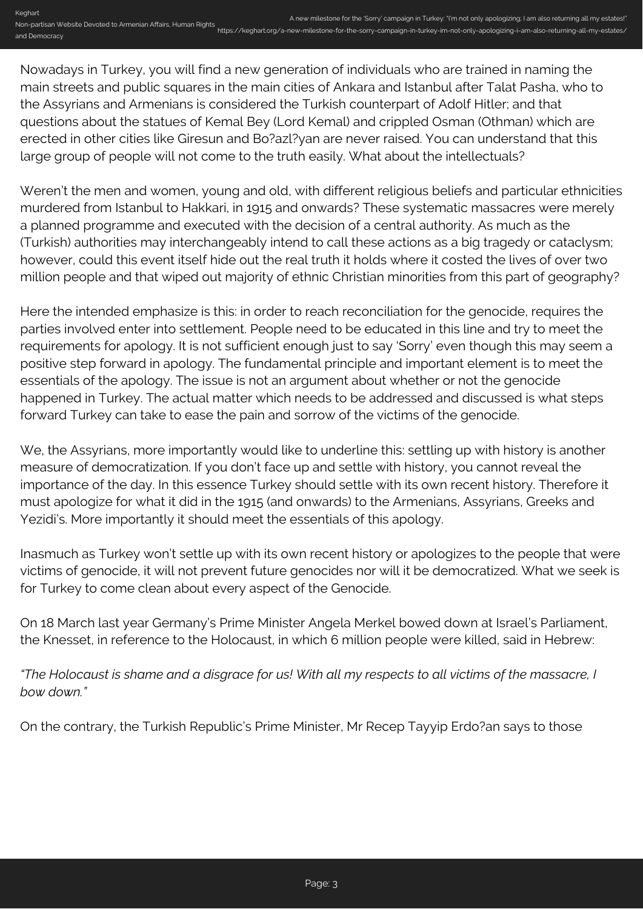Keghart Non-partisan Website Devoted to Armenian Affairs, Human Rights and Democracy A new milestone for the 'Sorry' campaign in Turkey: "I'm not only apologizing; I am also returning all my estates!" https://keghart.org/a-new-milestone-for-the-sorry-campaign-in-turkey-im-not-only-apologizing-i-am-also-returning-all-my-estates/

Nowadays in Turkey, you will find a new generation of individuals who are trained in naming the main streets and public squares in the main cities of Ankara and Istanbul after Talat Pasha, who to the Assyrians and Armenians is considered the Turkish counterpart of Adolf Hitler; and that questions about the statues of Kemal Bey (Lord Kemal) and crippled Osman (Othman) which are erected in other cities like Giresun and Bo?azl?yan are never raised. You can understand that this large group of people will not come to the truth easily. What about the intellectuals?

Weren't the men and women, young and old, with different religious beliefs and particular ethnicities murdered from Istanbul to Hakkari, in 1915 and onwards? These systematic massacres were merely a planned programme and executed with the decision of a central authority. As much as the (Turkish) authorities may interchangeably intend to call these actions as a big tragedy or cataclysm; however, could this event itself hide out the real truth it holds where it costed the lives of over two million people and that wiped out majority of ethnic Christian minorities from this part of geography?

Here the intended emphasize is this: in order to reach reconciliation for the genocide, requires the parties involved enter into settlement. People need to be educated in this line and try to meet the requirements for apology. It is not sufficient enough just to say 'Sorry' even though this may seem a positive step forward in apology. The fundamental principle and important element is to meet the essentials of the apology. The issue is not an argument about whether or not the genocide happened in Turkey. The actual matter which needs to be addressed and discussed is what steps forward Turkey can take to ease the pain and sorrow of the victims of the genocide.

We, the Assyrians, more importantly would like to underline this: settling up with history is another measure of democratization. If you don't face up and settle with history, you cannot reveal the importance of the day. In this essence Turkey should settle with its own recent history. Therefore it must apologize for what it did in the 1915 (and onwards) to the Armenians, Assyrians, Greeks and Yezidi's. More importantly it should meet the essentials of this apology.

Inasmuch as Turkey won't settle up with its own recent history or apologizes to the people that were victims of genocide, it will not prevent future genocides nor will it be democratized. What we seek is for Turkey to come clean about every aspect of the Genocide.

On 18 March last year Germany's Prime Minister Angela Merkel bowed down at Israel's Parliament, the Knesset, in reference to the Holocaust, in which 6 million people were killed, said in Hebrew:

*"The Holocaust is shame and a disgrace for us! With all my respects to all victims of the massacre, I bow down."*

On the contrary, the Turkish Republic's Prime Minister, Mr Recep Tayyip Erdo?an says to those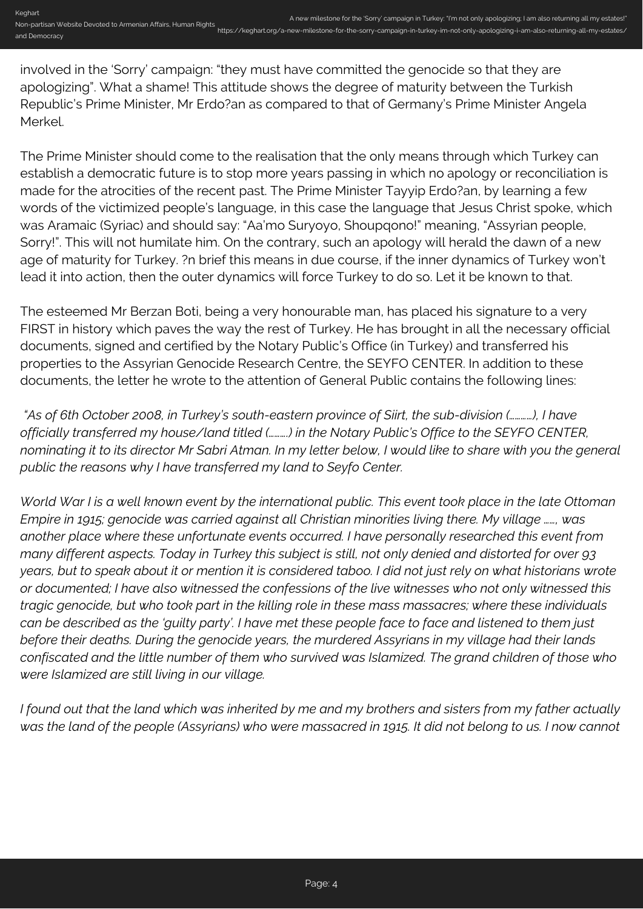involved in the 'Sorry' campaign: "they must have committed the genocide so that they are apologizing". What a shame! This attitude shows the degree of maturity between the Turkish Republic's Prime Minister, Mr Erdo?an as compared to that of Germany's Prime Minister Angela Merkel.

The Prime Minister should come to the realisation that the only means through which Turkey can establish a democratic future is to stop more years passing in which no apology or reconciliation is made for the atrocities of the recent past. The Prime Minister Tayyip Erdo?an, by learning a few words of the victimized people's language, in this case the language that Jesus Christ spoke, which was Aramaic (Syriac) and should say: "Aa'mo Suryoyo, Shoupqono!" meaning, "Assyrian people, Sorry!". This will not humilate him. On the contrary, such an apology will herald the dawn of a new age of maturity for Turkey. ?n brief this means in due course, if the inner dynamics of Turkey won't lead it into action, then the outer dynamics will force Turkey to do so. Let it be known to that.

The esteemed Mr Berzan Boti, being a very honourable man, has placed his signature to a very FIRST in history which paves the way the rest of Turkey. He has brought in all the necessary official documents, signed and certified by the Notary Public's Office (in Turkey) and transferred his properties to the Assyrian Genocide Research Centre, the SEYFO CENTER. In addition to these documents, the letter he wrote to the attention of General Public contains the following lines:

 *"As of 6th October 2008, in Turkey's south-eastern province of Siirt, the sub-division (…………), I have officially transferred my house/land titled (……….) in the Notary Public's Office to the SEYFO CENTER, nominating it to its director Mr Sabri Atman. In my letter below, I would like to share with you the general public the reasons why I have transferred my land to Seyfo Center.*

*World War I is a well known event by the international public. This event took place in the late Ottoman Empire in 1915; genocide was carried against all Christian minorities living there. My village ……, was another place where these unfortunate events occurred. I have personally researched this event from many different aspects. Today in Turkey this subject is still, not only denied and distorted for over 93 years, but to speak about it or mention it is considered taboo. I did not just rely on what historians wrote or documented; I have also witnessed the confessions of the live witnesses who not only witnessed this tragic genocide, but who took part in the killing role in these mass massacres; where these individuals can be described as the 'guilty party'. I have met these people face to face and listened to them just before their deaths. During the genocide years, the murdered Assyrians in my village had their lands confiscated and the little number of them who survived was Islamized. The grand children of those who were Islamized are still living in our village.*

*I found out that the land which was inherited by me and my brothers and sisters from my father actually was the land of the people (Assyrians) who were massacred in 1915. It did not belong to us. I now cannot*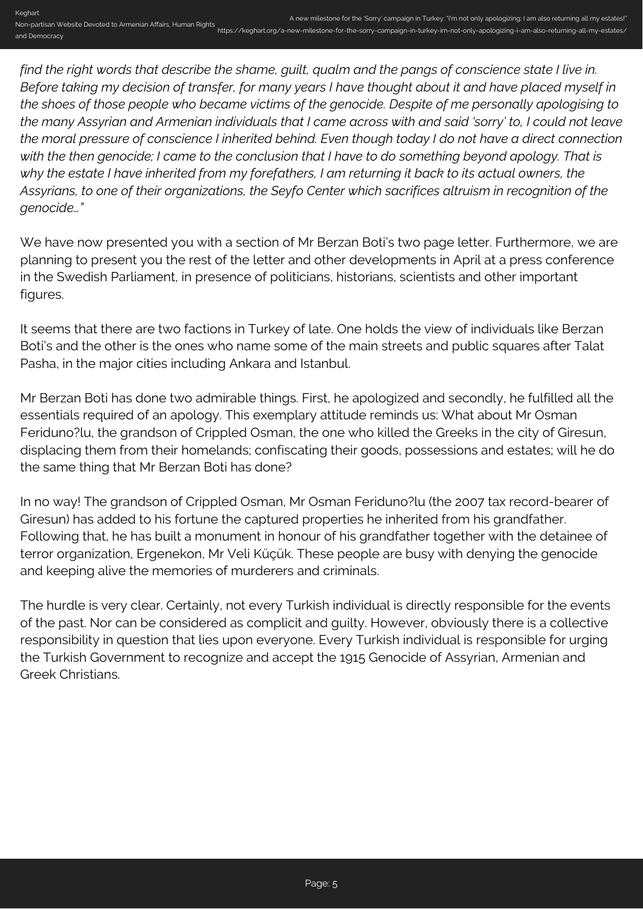*find the right words that describe the shame, guilt, qualm and the pangs of conscience state I live in. Before taking my decision of transfer, for many years I have thought about it and have placed myself in the shoes of those people who became victims of the genocide. Despite of me personally apologising to the many Assyrian and Armenian individuals that I came across with and said 'sorry' to, I could not leave the moral pressure of conscience I inherited behind. Even though today I do not have a direct connection with the then genocide; I came to the conclusion that I have to do something beyond apology. That is why the estate I have inherited from my forefathers, I am returning it back to its actual owners, the Assyrians, to one of their organizations, the Seyfo Center which sacrifices altruism in recognition of the genocide…"*

We have now presented you with a section of Mr Berzan Boti's two page letter. Furthermore, we are planning to present you the rest of the letter and other developments in April at a press conference in the Swedish Parliament, in presence of politicians, historians, scientists and other important figures.

It seems that there are two factions in Turkey of late. One holds the view of individuals like Berzan Boti's and the other is the ones who name some of the main streets and public squares after Talat Pasha, in the major cities including Ankara and Istanbul.

Mr Berzan Boti has done two admirable things. First, he apologized and secondly, he fulfilled all the essentials required of an apology. This exemplary attitude reminds us: What about Mr Osman Feriduno?lu, the grandson of Crippled Osman, the one who killed the Greeks in the city of Giresun, displacing them from their homelands; confiscating their goods, possessions and estates; will he do the same thing that Mr Berzan Boti has done?

In no way! The grandson of Crippled Osman, Mr Osman Feriduno?lu (the 2007 tax record-bearer of Giresun) has added to his fortune the captured properties he inherited from his grandfather. Following that, he has built a monument in honour of his grandfather together with the detainee of terror organization, Ergenekon, Mr Veli Küçük. These people are busy with denying the genocide and keeping alive the memories of murderers and criminals.

The hurdle is very clear. Certainly, not every Turkish individual is directly responsible for the events of the past. Nor can be considered as complicit and guilty. However, obviously there is a collective responsibility in question that lies upon everyone. Every Turkish individual is responsible for urging the Turkish Government to recognize and accept the 1915 Genocide of Assyrian, Armenian and Greek Christians.